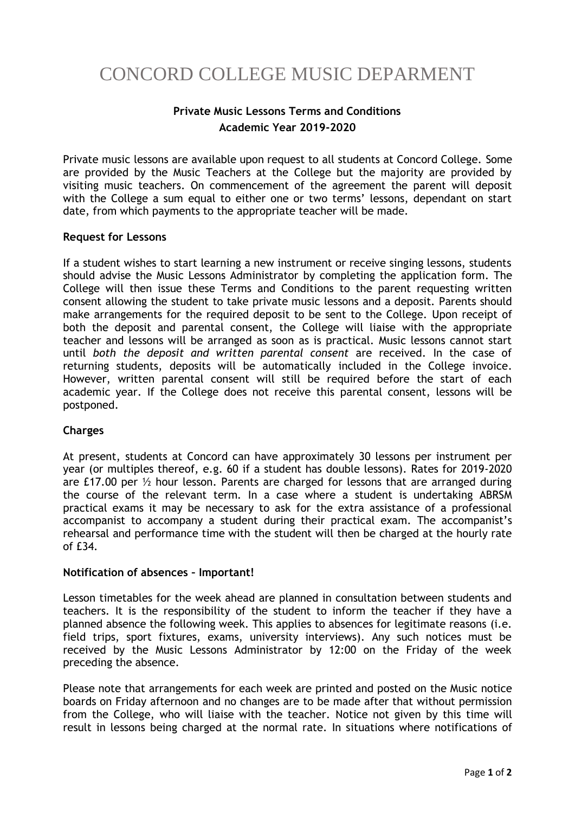# CONCORD COLLEGE MUSIC DEPARMENT

## **Private Music Lessons Terms and Conditions Academic Year 2019-2020**

Private music lessons are available upon request to all students at Concord College. Some are provided by the Music Teachers at the College but the majority are provided by visiting music teachers. On commencement of the agreement the parent will deposit with the College a sum equal to either one or two terms' lessons, dependant on start date, from which payments to the appropriate teacher will be made.

### **Request for Lessons**

If a student wishes to start learning a new instrument or receive singing lessons, students should advise the Music Lessons Administrator by completing the application form. The College will then issue these Terms and Conditions to the parent requesting written consent allowing the student to take private music lessons and a deposit. Parents should make arrangements for the required deposit to be sent to the College. Upon receipt of both the deposit and parental consent, the College will liaise with the appropriate teacher and lessons will be arranged as soon as is practical. Music lessons cannot start until *both the deposit and written parental consent* are received. In the case of returning students, deposits will be automatically included in the College invoice. However, written parental consent will still be required before the start of each academic year. If the College does not receive this parental consent, lessons will be postponed.

### **Charges**

At present, students at Concord can have approximately 30 lessons per instrument per year (or multiples thereof, e.g. 60 if a student has double lessons). Rates for 2019-2020 are £17.00 per ½ hour lesson. Parents are charged for lessons that are arranged during the course of the relevant term. In a case where a student is undertaking ABRSM practical exams it may be necessary to ask for the extra assistance of a professional accompanist to accompany a student during their practical exam. The accompanist's rehearsal and performance time with the student will then be charged at the hourly rate of £34.

### **Notification of absences – Important!**

Lesson timetables for the week ahead are planned in consultation between students and teachers. It is the responsibility of the student to inform the teacher if they have a planned absence the following week. This applies to absences for legitimate reasons (i.e. field trips, sport fixtures, exams, university interviews). Any such notices must be received by the Music Lessons Administrator by 12:00 on the Friday of the week preceding the absence.

Please note that arrangements for each week are printed and posted on the Music notice boards on Friday afternoon and no changes are to be made after that without permission from the College, who will liaise with the teacher. Notice not given by this time will result in lessons being charged at the normal rate. In situations where notifications of